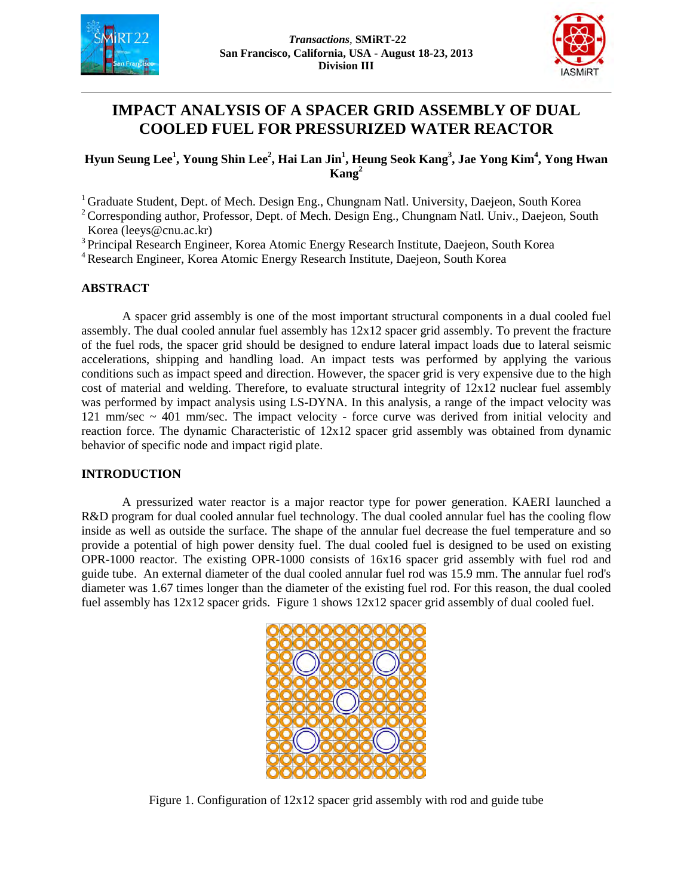



# **IMPACT ANALYSIS OF A SPACER GRID ASSEMBLY OF DUAL COOLED FUEL FOR PRESSURIZED WATER REACTOR**

# $\bf{H}$ yun Seung Lee<sup>1</sup>, Young Shin Lee<sup>2</sup>, Hai Lan Jin<sup>1</sup>, Heung Seok Kang<sup>3</sup>, Jae Yong Kim<sup>4</sup>, Yong Hwan **Kang2**

<sup>1</sup> Graduate Student, Dept. of Mech. Design Eng., Chungnam Natl. University, Daejeon, South Korea

<sup>2</sup> Corresponding author, Professor, Dept. of Mech. Design Eng., Chungnam Natl. Univ., Daejeon, South Korea (leeys@cnu.ac.kr)

<sup>3</sup> Principal Research Engineer, Korea Atomic Energy Research Institute, Daejeon, South Korea

4 Research Engineer, Korea Atomic Energy Research Institute, Daejeon, South Korea

#### **ABSTRACT**

A spacer grid assembly is one of the most important structural components in a dual cooled fuel assembly. The dual cooled annular fuel assembly has 12x12 spacer grid assembly. To prevent the fracture of the fuel rods, the spacer grid should be designed to endure lateral impact loads due to lateral seismic accelerations, shipping and handling load. An impact tests was performed by applying the various conditions such as impact speed and direction. However, the spacer grid is very expensive due to the high cost of material and welding. Therefore, to evaluate structural integrity of  $12x12$  nuclear fuel assembly was performed by impact analysis using LS-DYNA. In this analysis, a range of the impact velocity was 121 mm/sec ~ 401 mm/sec. The impact velocity - force curve was derived from initial velocity and reaction force. The dynamic Characteristic of 12x12 spacer grid assembly was obtained from dynamic behavior of specific node and impact rigid plate.

## **INTRODUCTION**

A pressurized water reactor is a major reactor type for power generation. KAERI launched a R&D program for dual cooled annular fuel technology. The dual cooled annular fuel has the cooling flow inside as well as outside the surface. The shape of the annular fuel decrease the fuel temperature and so provide a potential of high power density fuel. The dual cooled fuel is designed to be used on existing OPR-1000 reactor. The existing OPR-1000 consists of 16x16 spacer grid assembly with fuel rod and guide tube. An external diameter of the dual cooled annular fuel rod was 15.9 mm. The annular fuel rod's diameter was 1.67 times longer than the diameter of the existing fuel rod. For this reason, the dual cooled fuel assembly has 12x12 spacer grids. Figure 1 shows 12x12 spacer grid assembly of dual cooled fuel.



Figure 1. Configuration of 12x12 spacer grid assembly with rod and guide tube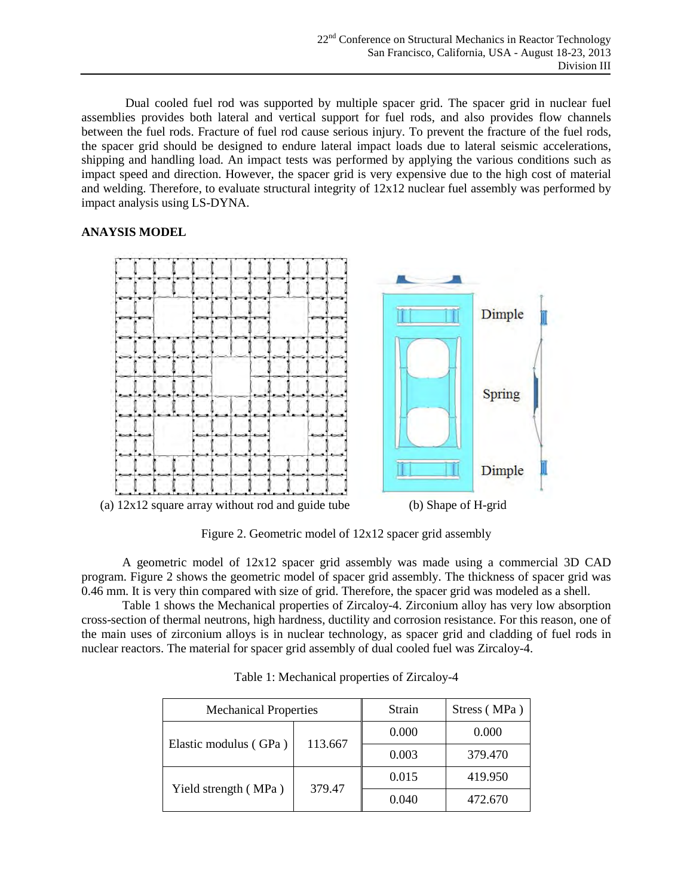Dual cooled fuel rod was supported by multiple spacer grid. The spacer grid in nuclear fuel assemblies provides both lateral and vertical support for fuel rods, and also provides flow channels between the fuel rods. Fracture of fuel rod cause serious injury. To prevent the fracture of the fuel rods, the spacer grid should be designed to endure lateral impact loads due to lateral seismic accelerations, shipping and handling load. An impact tests was performed by applying the various conditions such as impact speed and direction. However, the spacer grid is very expensive due to the high cost of material and welding. Therefore, to evaluate structural integrity of 12x12 nuclear fuel assembly was performed by impact analysis using LS-DYNA.

## **ANAYSIS MODEL**



Figure 2. Geometric model of 12x12 spacer grid assembly

A geometric model of 12x12 spacer grid assembly was made using a commercial 3D CAD program. Figure 2 shows the geometric model of spacer grid assembly. The thickness of spacer grid was 0.46 mm. It is very thin compared with size of grid. Therefore, the spacer grid was modeled as a shell.

Table 1 shows the Mechanical properties of Zircaloy-4. Zirconium alloy has very low absorption cross-section of thermal neutrons, high hardness, ductility and corrosion resistance. For this reason, one of the main uses of zirconium alloys is in nuclear technology, as spacer grid and cladding of fuel rods in nuclear reactors. The material for spacer grid assembly of dual cooled fuel was Zircaloy-4.

| <b>Mechanical Properties</b> |         | Strain | Stress (MPa) |
|------------------------------|---------|--------|--------------|
| Elastic modulus (GPa)        | 113.667 | 0.000  | 0.000        |
|                              |         | 0.003  | 379.470      |
| Yield strength (MPa)         | 379.47  | 0.015  | 419.950      |
|                              |         | 0.040  | 472.670      |

Table 1: Mechanical properties of Zircaloy-4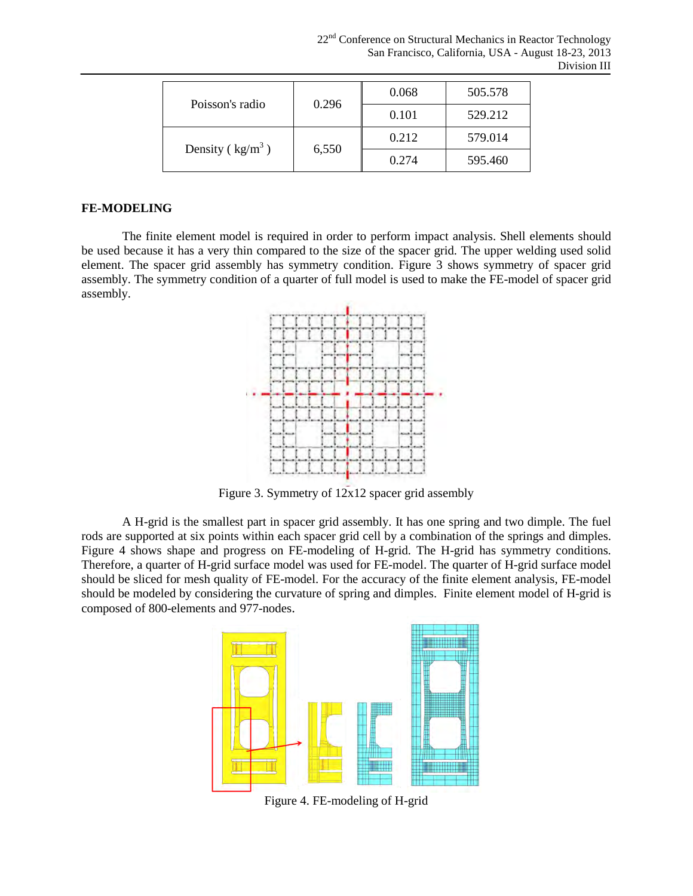| Poisson's radio    | 0.296 | 0.068 | 505.578 |
|--------------------|-------|-------|---------|
|                    |       | 0.101 | 529.212 |
| Density $(kg/m^3)$ | 6,550 | 0.212 | 579.014 |
|                    |       | 0.274 | 595.460 |

## **FE-MODELING**

The finite element model is required in order to perform impact analysis. Shell elements should be used because it has a very thin compared to the size of the spacer grid. The upper welding used solid element. The spacer grid assembly has symmetry condition. Figure 3 shows symmetry of spacer grid assembly. The symmetry condition of a quarter of full model is used to make the FE-model of spacer grid assembly.



Figure 3. Symmetry of 12x12 spacer grid assembly

A H-grid is the smallest part in spacer grid assembly. It has one spring and two dimple. The fuel rods are supported at six points within each spacer grid cell by a combination of the springs and dimples. Figure 4 shows shape and progress on FE-modeling of H-grid. The H-grid has symmetry conditions. Therefore, a quarter of H-grid surface model was used for FE-model. The quarter of H-grid surface model should be sliced for mesh quality of FE-model. For the accuracy of the finite element analysis, FE-model should be modeled by considering the curvature of spring and dimples. Finite element model of H-grid is composed of 800-elements and 977-nodes.



Figure 4. FE-modeling of H-grid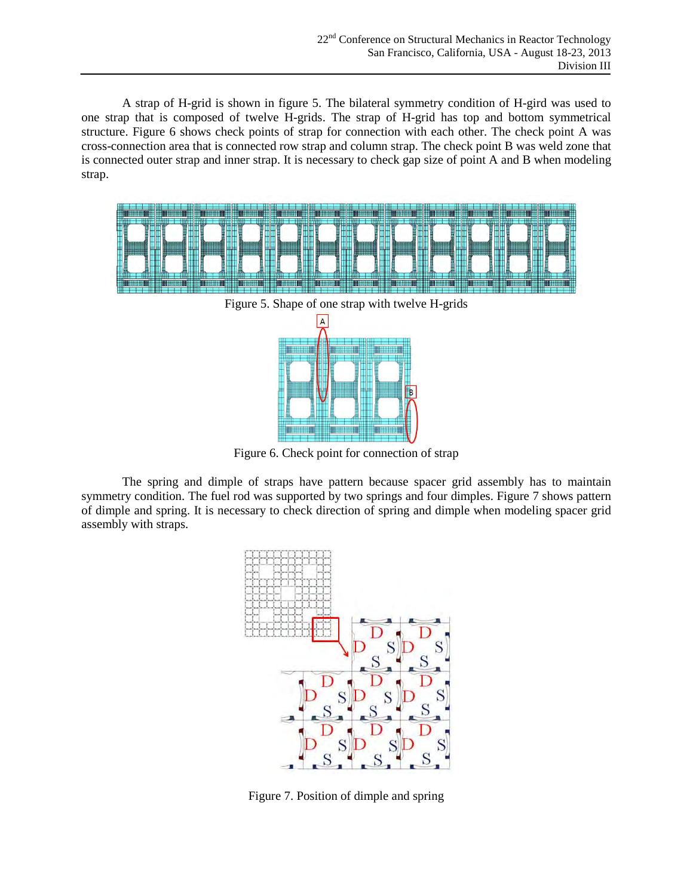A strap of H-grid is shown in figure 5. The bilateral symmetry condition of H-gird was used to one strap that is composed of twelve H-grids. The strap of H-grid has top and bottom symmetrical structure. Figure 6 shows check points of strap for connection with each other. The check point A was cross-connection area that is connected row strap and column strap. The check point B was weld zone that is connected outer strap and inner strap. It is necessary to check gap size of point A and B when modeling strap.



Figure 6. Check point for connection of strap

The spring and dimple of straps have pattern because spacer grid assembly has to maintain symmetry condition. The fuel rod was supported by two springs and four dimples. Figure 7 shows pattern of dimple and spring. It is necessary to check direction of spring and dimple when modeling spacer grid assembly with straps.



Figure 7. Position of dimple and spring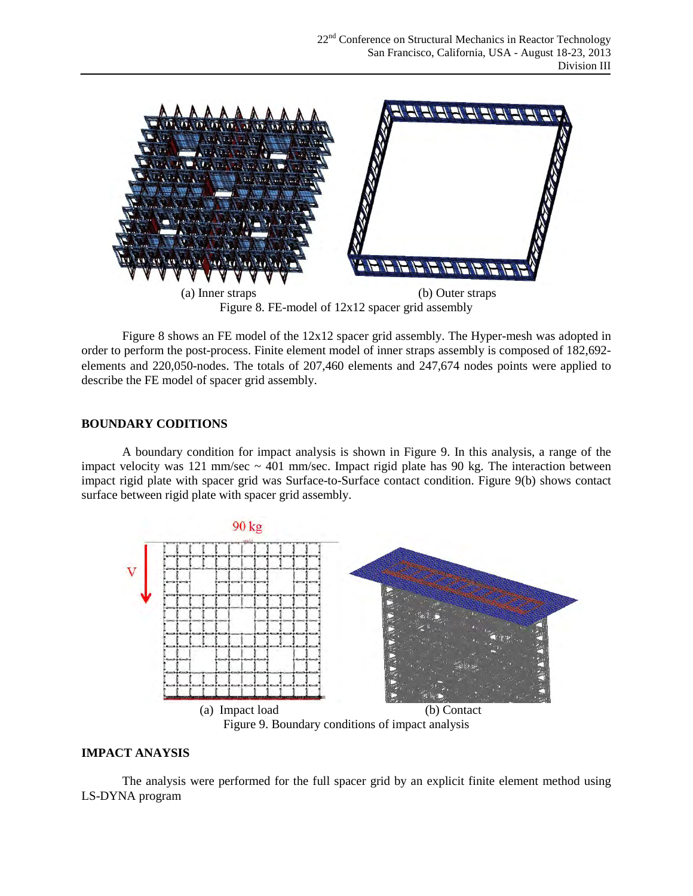

Figure 8. FE-model of 12x12 spacer grid assembly

Figure 8 shows an FE model of the 12x12 spacer grid assembly. The Hyper-mesh was adopted in order to perform the post-process. Finite element model of inner straps assembly is composed of 182,692 elements and 220,050-nodes. The totals of 207,460 elements and 247,674 nodes points were applied to describe the FE model of spacer grid assembly.

# **BOUNDARY CODITIONS**

A boundary condition for impact analysis is shown in Figure 9. In this analysis, a range of the impact velocity was 121 mm/sec  $\sim$  401 mm/sec. Impact rigid plate has 90 kg. The interaction between impact rigid plate with spacer grid was Surface-to-Surface contact condition. Figure 9(b) shows contact surface between rigid plate with spacer grid assembly.



Figure 9. Boundary conditions of impact analysis

## **IMPACT ANAYSIS**

The analysis were performed for the full spacer grid by an explicit finite element method using LS-DYNA program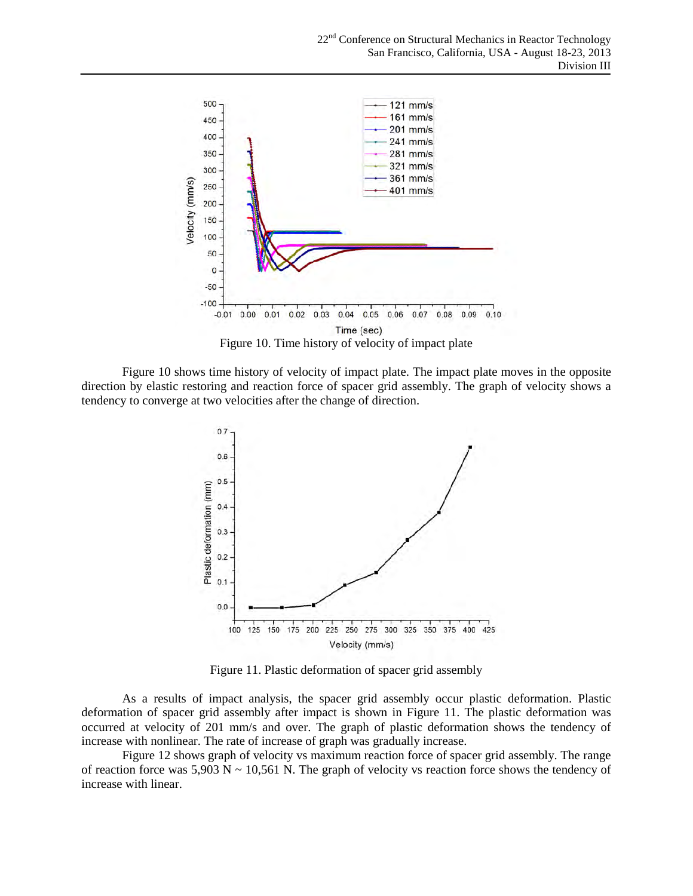

Figure 10 shows time history of velocity of impact plate. The impact plate moves in the opposite direction by elastic restoring and reaction force of spacer grid assembly. The graph of velocity shows a tendency to converge at two velocities after the change of direction.



Figure 11. Plastic deformation of spacer grid assembly

As a results of impact analysis, the spacer grid assembly occur plastic deformation. Plastic deformation of spacer grid assembly after impact is shown in Figure 11. The plastic deformation was occurred at velocity of 201 mm/s and over. The graph of plastic deformation shows the tendency of increase with nonlinear. The rate of increase of graph was gradually increase.

Figure 12 shows graph of velocity vs maximum reaction force of spacer grid assembly. The range of reaction force was  $5,903$  N  $\sim$  10,561 N. The graph of velocity vs reaction force shows the tendency of increase with linear.